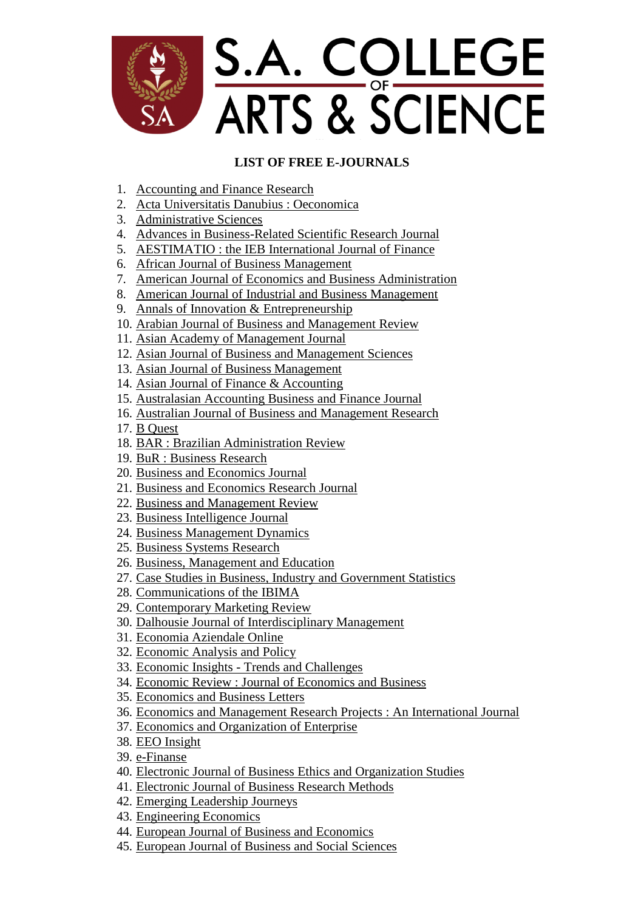

## **LIST OF FREE E-JOURNALS**

- 1. [Accounting and Finance](http://www.sciedu.ca/afr) Research
- 2. [Acta Universitatis Danubius :](http://journals.univ-danubius.ro/index.php/oeconomica/index) Oeconomica
- 3. [Administrative](http://www.mdpi.com/journal/admsci) Sciences
- 4. [Advances in Business-Related Scientific Research](http://www.absrc.org/index.php?option=com_content&view=article&id=70&Itemid=107) Journal
- 5. [AESTIMATIO : the IEB International Journal of](http://www.ieb.es/secc.aspx?idsec=1254) Finance
- 6. [African Journal of Business Management](http://www.academicjournals.org/ajbm)
- 7. [American Journal of Economics and Business](http://thescipub.com/ajeba.toc) Administration
- 8. [American Journal of Industrial and Business](http://www.scirp.org/journal/AJIBM/) Management
- 9. [Annals of Innovation &](http://www.innovationandentrepreneurship.net/index.php/aie) Entrepreneurship
- 10. [Arabian Journal of Business and Management](http://www.arabianjbmr.com/) Review
- 11. [Asian Academy of Management](http://www.usm.my/aamj/) Journal
- 12. [Asian Journal of Business and Management](http://www.ajbms.org/) Sciences
- 13. [Asian Journal of Business](http://www.maxwellsci.com/jp/j2p.php?jid=AJBM) Management
- 14. [Asian Journal of Finance &](http://www.macrothink.org/journal/index.php/ajfa) Accounting
- 15. [Australasian Accounting Business and Finance](http://ro.uow.edu.au/aabfj/) Journal
- 16. [Australian Journal of Business and Management](http://www.ajbmr.com/) Research
- 17. B [Quest](http://www.westga.edu/~bquest/)
- 18. [BAR : Brazilian Administration](http://www.scielo.br/scielo.php?script=sci_serial&pid=1807-7692&lng=en&nrm=iso) Review
- 19. [BuR : Business](http://www.business-research.org/) Research
- 20. [Business and Economics](http://astonjournals.com/bej.html) Journal
- 21. [Business and Economics Research](http://www.berjournal.com/) Journal
- 22. [Business and Management](http://www.bmr.businessjournalz.org/) Review
- 23. [Business Intelligence Journal](http://www.saycocorporativo.com/saycoUK/BIJ/journals.html)
- 24. [Business Management](http://www.bmdynamics.com/) Dynamics
- 25. [Business Systems](http://www.versita.com/bsr/) Research
- 26. [Business, Management and](http://www.bme.vgtu.lt/) Education
- 27. [Case Studies in Business, Industry and Government](http://www.bentley.edu/csbigs) Statistics
- 28. [Communications of the](http://www.ibimapublishing.com/journals/CIBIMA/cibima.html) IBIMA
- 29. [Contemporary Marketing](http://www.cmr.businessjournalz.org/) Review
- 30. [Dalhousie Journal of Interdisciplinary](http://djim.management.dal.ca/) Management
- 31. [Economia Aziendale](http://riviste.paviauniversitypress.it/index.php/ea/index) Online
- 32. [Economic Analysis and Policy](http://www.eap-journal.com/)
- 33. Economic Insights [Trends and Challenges](http://www.upg-bulletin-se.ro/)
- 34. [Economic Review : Journal of Economics and](http://www.ef.untz.ba/web/stranice/economic_review.htm) Business
- 35. [Economics and Business](http://www.unioviedo.es/reunido/index.php/EBL) Letters
- 36. [Economics and Management Research Projects : An International](http://webapps.fep.up.pt/oaij/index.php/EMRP_IJ) Journal
- 37. [Economics and Organization of](http://versita.metapress.com/content/121132/) Enterprise
- 38. [EEO Insight](http://www.eeoinsight.com/index.html)
- 39. [e-Finanse](http://www.e-finanse.com/)
- 40. [Electronic Journal of Business Ethics and Organization](http://ejbo.jyu.fi/) Studies
- 41. [Electronic Journal of Business Research](http://www.ejbrm.com/) Methods
- 42. [Emerging Leadership](http://www.regent.edu/acad/global/publications/elj/) Journeys
- 43. [Engineering](http://internet.ktu.lt/en/inzeko/) Economics
- 44. [European Journal of Business and Economics](http://economics.journals.cz/)
- 45. [European Journal of Business and Social](http://www.ejbss.com/) Sciences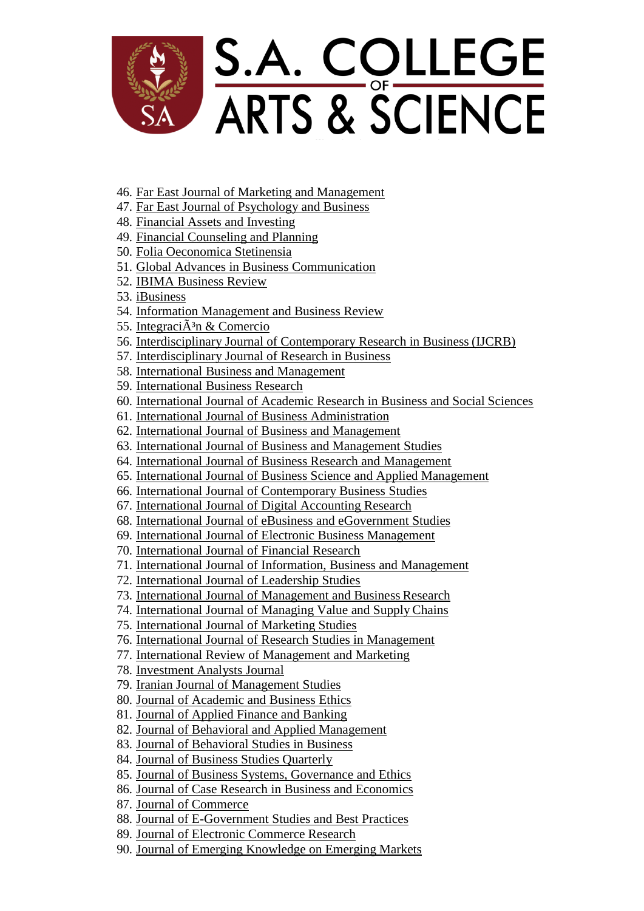

- 46. [Far East Journal of Marketing and](http://www.fareastjournals.com/journal_detail.aspx?jid=22) Management
- 47. [Far East Journal of Psychology and](http://www.fareastjournals.com/journal_detail.aspx?jid=18) Business
- 48. [Financial Assets and](http://fai.econ.muni.cz/) Investing
- 49. [Financial Counseling and](http://www.afcpe.org/publications/journal-articles.php) Planning
- 50. [Folia Oeconomica](http://versita.metapress.com/content/120798/) Stetinensia
- 51. [Global Advances in Business](http://commons.emich.edu/gabc/) Communication
- 52. [IBIMA Business Review](http://www.ibimapublishing.com/journals/IBIMABR/ibimabr.html)
- 53. [iBusiness](http://www.scirp.org/journal/ib)
- 54. [Information Management and Business](http://www.ifrnd.org/journal_imbr.php) Review
- 55. Integraci $\tilde{A}^3$ n & Comercio
- 56. [Interdisciplinary Journal of Contemporary Research in Business](http://www.ijcrb.webs.com/) (IJCRB)
- 57. [Interdisciplinary Journal of Research in](http://www.idjrb.com/) Business
- 58. [International Business and](http://www.cscanada.net/index.php/ibm) Management
- 59. [International Business](http://ccsenet.org/journal/index.php/ibr/) Research
- 60. [International Journal of Academic Research in Business and Social](http://www.hrmars.com/index.php?page=ijarbss) Sciences
- 61. [International Journal of Business Administration](http://www.sciedu.ca/journal/index.php/ijba)
- 62. [International Journal of Business and Management](http://ccsenet.org/journal/index.php/ijbm/)
- 63. [International Journal of Business and Management](http://www.sobiad.org/eJOURNALS/journal_IJBM/index.html) Studies
- 64. [International Journal of Business Research and](http://www.cscjournals.org/csc/description.php?JCode=IJBRM) Management
- 65. [International Journal of Business Science and Applied](http://www.business-and-management.org/) Management
- 66. [International Journal of Contemporary Business](http://akpinsight.webs.com/researchpaperpublications.htm) Studies
- 67. [International Journal of Digital Accounting](http://www.uhu.es/ijdar) Research
- 68. [International Journal of eBusiness and eGovernment](http://www.sobiad.org/eJOURNALS/journal_IJEBEG/index.html) Studies
- 69. [International Journal of Electronic Business Management](http://ijebm.ie.nthu.edu.tw/IJEBM_Web/index.htm)
- 70. [International Journal of Financial](http://www.sciedu.ca/journal/index.php/ijfr) Research
- 71. [International Journal of Information, Business and](http://ijibm.site666.com/) Management
- 72. [International Journal of Leadership Studies](http://www.regent.edu/ijls)
- 73. [International Journal of Management and Business](http://www.ijmbr.org/) Research
- 74. [International Journal of Managing Value and Supply](http://airccse.org/journal/mvsc/ijmvsc.html) Chains
- 75. [International Journal of Marketing](http://www.ccsenet.org/journal/index.php/ijms/index) Studies
- 76. [International Journal of Research Studies in](http://www.consortiacademia.org/index.php/ijrsm) Management
- 77. [International Review of Management and](http://econjournals.com/index.php/irmm) Marketing
- 78. [Investment Analysts](http://www.iassa.co.za/journals/) Journal
- 79. [Iranian Journal of Management](http://www.ijms.ir/index.htm) Studies
- 80. [Journal of Academic and Business](http://www.aabri.com/jabe.html) Ethics
- 81. [Journal of Applied Finance and](http://www.scienpress.com/journal_focus.asp?Main_Id=56) Banking
- 82. [Journal of Behavioral and Applied](http://www.ibam.com/jbam.html) Management
- 83. [Journal of Behavioral Studies in](http://www.aabri.com/jbsb.html) Business
- 84. [Journal of Business Studies](http://jbsq.org/) Quarterly
- 85. [Journal of Business Systems, Governance and](http://www.jbsge.vu.edu.au/) Ethics
- 86. [Journal of Case Research](http://www.aabri.com/jcrbe.html) in Business and Economics
- 87. Journal of [Commerce](http://www.joc.hcc.edu.pk/)
- 88. [Journal of E-Government Studies and Best](http://www.ibimapublishing.com/journals/JEGSBP/jegsbp.html) Practices
- 89. [Journal of Electronic Commerce](http://www.csulb.edu/journals/jecr/) Research
- 90. [Journal of Emerging Knowledge on Emerging](http://digitalcommons.kennesaw.edu/jekem/) Markets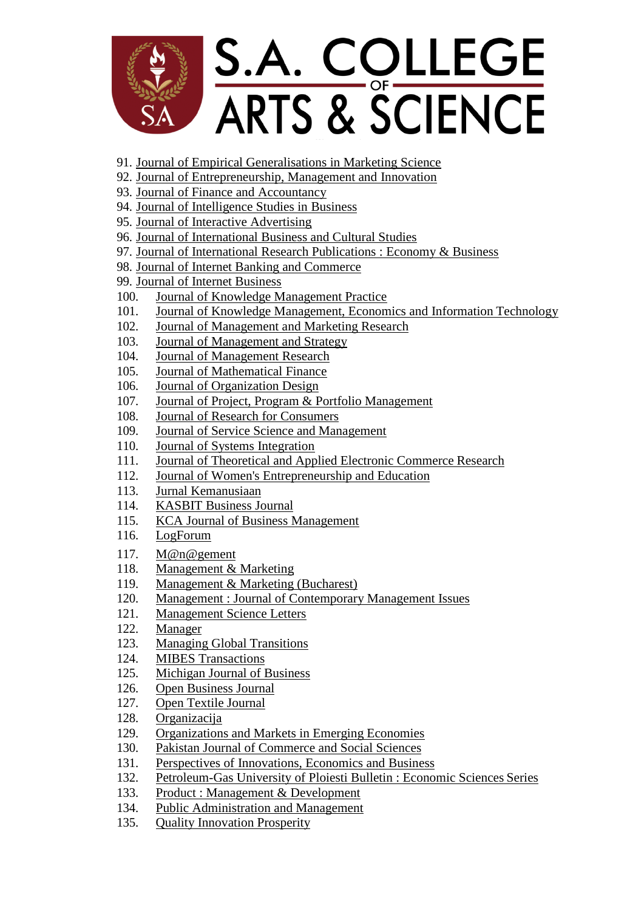

- 91. [Journal of Empirical Generalisations in Marketing](http://www.empgens.com/) Science
- 92. [Journal of Entrepreneurship, Management and](http://www.jemi.edu.pl/) Innovation
- 93. [Journal of Finance and](http://www.aabri.com/jfa.html) Accountancy
- 94. [Journal of Intelligence Studies in](https://ojs.hh.se/index.php/JISIB) Business
- 95. [Journal of Interactive](http://jiad.org/) Advertising
- 96. [Journal of International Business and Cultural](http://www.aabri.com/jibcs.html) Studies
- 97. [Journal of International Research Publications : Economy &](http://www.economy-business.eu/index.htm) Business
- 98. [Journal of Internet Banking and](http://www.arraydev.com/commerce/jibc/) Commerce
- 99. [Journal of Internet Business](http://jib.debii.curtin.edu.au/)
- 100. [Journal of Knowledge Management](http://www.tlainc.com/jkmp.htm) Practice
- 101. [Journal of Knowledge Management, Economics and](http://www.scientificpapers.org/) Information Technology
- 102. [Journal of Management and Marketing](http://www.aabri.com/jmmr.html) Research
- 103. [Journal of Management and](http://www.sciedu.ca/journal/index.php/jms) Strategy
- 104. [Journal of Management Research](http://www.macrothink.org/journal/index.php/jmr/index)
- 105. [Journal of Mathematical Finance](http://www.scirp.org/journal/jmf/)
- 106. [Journal of Organization](http://ojs.statsbiblioteket.dk/index.php/jod) Design
- 107. [Journal of Project, Program & Portfolio](http://epress.lib.uts.edu.au/ojs/index.php/pppm/index) Management
- 108. [Journal of Research for](http://www.jrconsumers.com/) Consumers
- 109. [Journal of Service Science and](http://www.scirp.org/journal/jssm/) Management
- 110. [Journal of Systems Integration](http://www.si-journal.org/)
- 111. [Journal of Theoretical and Applied Electronic Commerce](http://www.jtaer.com/) Research
- 112. [Journal of Women's Entrepreneurship and](http://www.ien.bg.ac.rs/index.php?option=com_content&view=article&id=51&Itemid=13&lang=en) Education
- 113. Jurnal [Kemanusiaan](http://www.fppsm.utm.my/jurnal-kemanusiaan.html)
- 114. [KASBIT Business](http://www.kasbit.edu.pk/Journal/kasbitbusinessJournalvol.htm) Journal
- 115. [KCA Journal of Business](http://www.kcajournals.com/index) Management
- 116. [LogForum](http://www.logforum.net/)
- 117. [M@n@gement](http://www.management-aims.com/)
- 118. [Management &](http://www.mnmk.ro/) Marketing
- 119. [Management & Marketing](http://www.managementmarketing.ro/) (Bucharest)
- 120. [Management : Journal of Contemporary Management](http://www.efst.hr/management) Issues
- 121. [Management Science Letters](http://growingscience.com/msl/msl.html)
- 122. [Manager](http://manager.faa.ro/)
- 123. [Managing Global](http://www.mgt.fm-kp.si/) Transitions
- 124. MIBES [Transactions](http://www.bs.teilar.gr/mtol)
- 125. [Michigan Journal of Business](http://www.michiganjb.org/)
- 126. [Open Business](http://www.bentham.org/open/tobj/) Journal
- 127. [Open Textile](http://www.bentham.org/open/totextilej/index.htm) Journal
- 128. [Organizacija](http://versita.metapress.com/content/121156/)
- 129. [Organizations and Markets in Emerging](http://www.om.ef.vu.lt/) Economies
- 130. [Pakistan Journal of Commerce and Social](http://www.jespk.net/) Sciences
- 131. [Perspectives of Innovations, Economics and](http://academicpublishingplatforms.com/journal.php?journal=PIEB) Business
- 132. [Petroleum-Gas University of Ploiesti Bulletin : Economic Sciences](http://www.upg-bulletin-se.ro/) Series
- 133. [Product : Management &](http://pmd.hostcentral.com.br/) Development
- 134. [Public Administration and](http://spaef.com/pam.php) Management
- 135. [Quality Innovation](http://www.qip-journal.eu/) Prosperity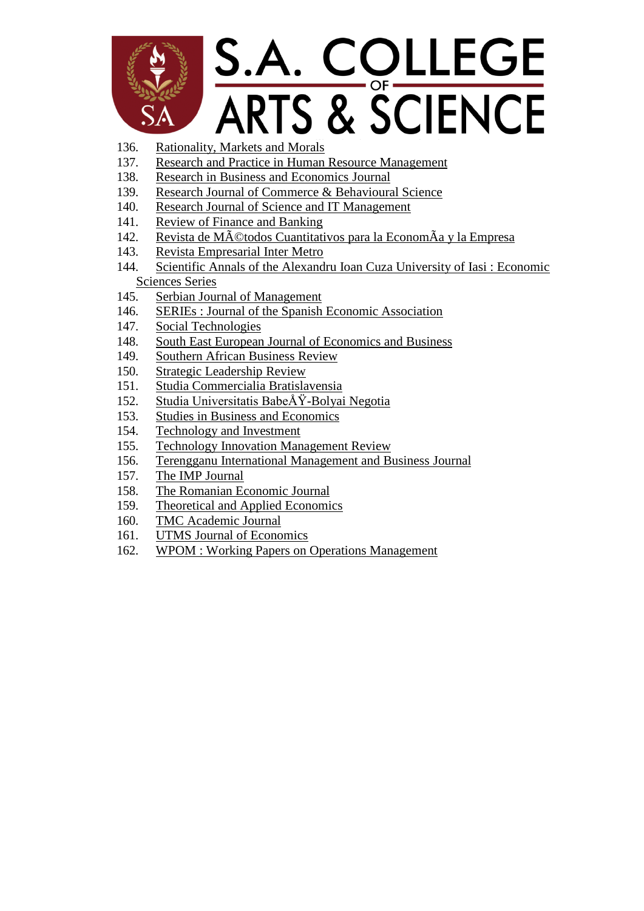

- 136. [Rationality, Markets and](http://www.rmm-journal.de/index.html) Morals
- 137. [Research and Practice in Human Resource Management](http://rphrm.curtin.edu.au/)
- 138. [Research in Business and Economics](http://www.aabri.com/rbej.html) Journal
- 139. [Research Journal of Commerce & Behavioural](http://www.theinternationaljournal.org/ojs/index.php?journal=rjcbs) Science
- 140. [Research Journal of Science and IT Management](http://www.theinternationaljournal.org/ojs/index.php?journal=rjitsm)
- 141. [Review of Finance and](http://www.rfb.ase.ro/Default.aspx) Banking
- 142. [Revista de Métodos Cuantitativos para la EconomÃa y la](http://www.upo.es/RevMetCuant/) Empresa
- 143. [Revista Empresarial Inter](http://ceajournal.metro.inter.edu/) Metro
- 144. [Scientific Annals of the Alexandru Ioan Cuza University of Iasi : Economic](http://anale.feaa.uaic.ro/anale/en/) [Sciences](http://anale.feaa.uaic.ro/anale/en/) Series
- 145. [Serbian Journal of](http://www.sjm06.com/) Management
- 146. [SERIEs : Journal of the Spanish Economic](http://www.springerlink.com/content/1869-4187) Association
- 147. Social [Technologies](http://www.mruni.eu/en/mokslo_darbai/st/apie_leidini/)
- 148. [South East European Journal of Economics and](http://versita.metapress.com/content/120842/) Business
- 149. [Southern African Business](http://www.unisa.ac.za/default.asp?Cmd=ViewContent&ContentID=22335) Review
- 150. [Strategic Leadership](http://strategicleadershipreview.org/) Review
- 151. [Studia Commercialia](http://versita.com/scb/) Bratislavensia
- 152. [Studia Universitatis BabeÅŸ-Bolyai Negotia](http://studia.ubbcluj.ro/serii/negotia/index_en.html)
- 153. [Studies in Business and](http://eccsf.ulbsibiu.ro/publicatii.html) Economics
- 154. [Technology and](http://www.scirp.org/journal/ti) Investment
- 155. [Technology Innovation Management](http://timreview.ca/) Review
- 156. [Terengganu International Management and Business](http://timbej.uitm.edu.my/) Journal
- 157. [The IMP Journal](http://www.impjournal.org/)
- 158. [The Romanian Economic](http://www.rejournal.eu/) Journal
- 159. [Theoretical and Applied](http://www.ectap.ro/) Economics
- 160. [TMC Academic](http://www.tmc.edu.sg/index.php/tmc-academic-journal) Journal
- 161. [UTMS Journal of](http://www.utms.cc/e-student/index.php?option=com_content&view=article&id=29&Itemid=418) Economics
- 162. [WPOM : Working Papers on Operations](http://rogle.webs.upv.es/rogleWPOM.html) [Management](http://rogle.webs.upv.es/rogleWPOM.html)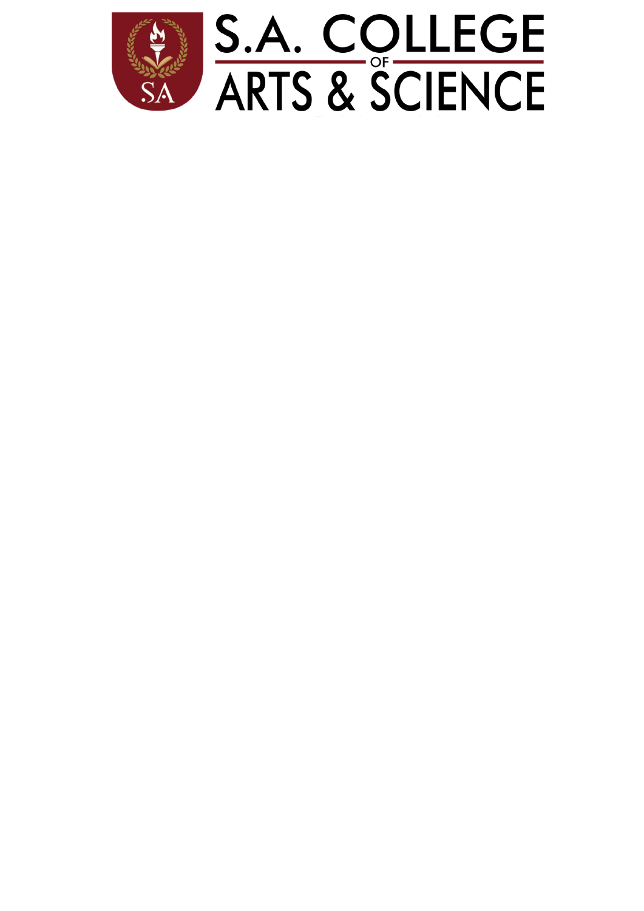